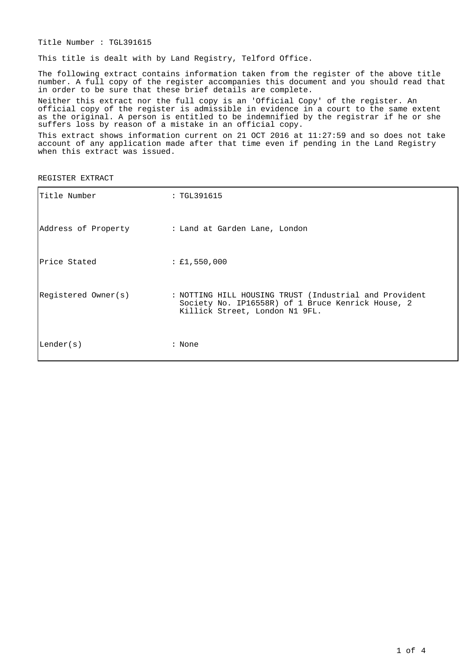Title Number : TGL391615

This title is dealt with by Land Registry, Telford Office.

The following extract contains information taken from the register of the above title number. A full copy of the register accompanies this document and you should read that in order to be sure that these brief details are complete.

Neither this extract nor the full copy is an 'Official Copy' of the register. An official copy of the register is admissible in evidence in a court to the same extent as the original. A person is entitled to be indemnified by the registrar if he or she suffers loss by reason of a mistake in an official copy.

This extract shows information current on 21 OCT 2016 at 11:27:59 and so does not take account of any application made after that time even if pending in the Land Registry when this extract was issued.

REGISTER EXTRACT

| Title Number        | : TGL391615                                                                                                                                   |
|---------------------|-----------------------------------------------------------------------------------------------------------------------------------------------|
| Address of Property | : Land at Garden Lane, London                                                                                                                 |
| Price Stated        | : £1,550,000                                                                                                                                  |
| Registered Owner(s) | : NOTTING HILL HOUSING TRUST (Industrial and Provident<br>Society No. IP16558R) of 1 Bruce Kenrick House, 2<br>Killick Street, London N1 9FL. |
| Lender(s)           | : None                                                                                                                                        |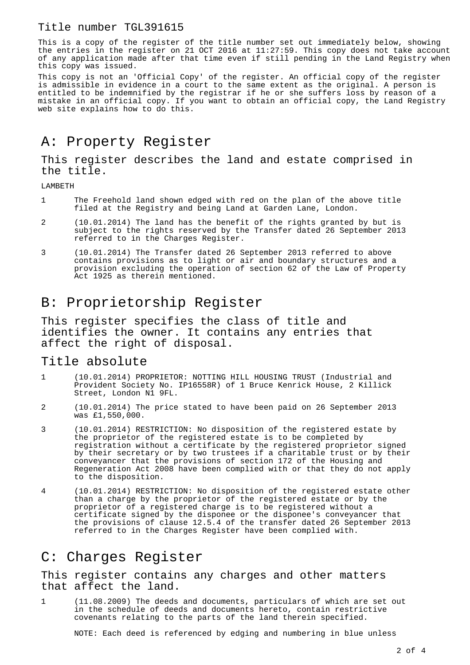#### Title number TGL391615

This is a copy of the register of the title number set out immediately below, showing the entries in the register on 21 OCT 2016 at 11:27:59. This copy does not take account of any application made after that time even if still pending in the Land Registry when this copy was issued.

This copy is not an 'Official Copy' of the register. An official copy of the register is admissible in evidence in a court to the same extent as the original. A person is entitled to be indemnified by the registrar if he or she suffers loss by reason of a mistake in an official copy. If you want to obtain an official copy, the Land Registry web site explains how to do this.

## A: Property Register

This register describes the land and estate comprised in the title.

LAMBETH

- 1 The Freehold land shown edged with red on the plan of the above title filed at the Registry and being Land at Garden Lane, London.
- 2 (10.01.2014) The land has the benefit of the rights granted by but is subject to the rights reserved by the Transfer dated 26 September 2013 referred to in the Charges Register.
- 3 (10.01.2014) The Transfer dated 26 September 2013 referred to above contains provisions as to light or air and boundary structures and a provision excluding the operation of section 62 of the Law of Property Act 1925 as therein mentioned.

## B: Proprietorship Register

This register specifies the class of title and identifies the owner. It contains any entries that affect the right of disposal.

#### Title absolute

- 1 (10.01.2014) PROPRIETOR: NOTTING HILL HOUSING TRUST (Industrial and Provident Society No. IP16558R) of 1 Bruce Kenrick House, 2 Killick Street, London N1 9FL.
- 2 (10.01.2014) The price stated to have been paid on 26 September 2013 was £1,550,000.
- 3 (10.01.2014) RESTRICTION: No disposition of the registered estate by the proprietor of the registered estate is to be completed by registration without a certificate by the registered proprietor signed by their secretary or by two trustees if a charitable trust or by their conveyancer that the provisions of section 172 of the Housing and Regeneration Act 2008 have been complied with or that they do not apply to the disposition.
- 4 (10.01.2014) RESTRICTION: No disposition of the registered estate other than a charge by the proprietor of the registered estate or by the proprietor of a registered charge is to be registered without a certificate signed by the disponee or the disponee's conveyancer that the provisions of clause 12.5.4 of the transfer dated 26 September 2013 referred to in the Charges Register have been complied with.

## C: Charges Register

This register contains any charges and other matters that affect the land.

1 (11.08.2009) The deeds and documents, particulars of which are set out in the schedule of deeds and documents hereto, contain restrictive covenants relating to the parts of the land therein specified.

NOTE: Each deed is referenced by edging and numbering in blue unless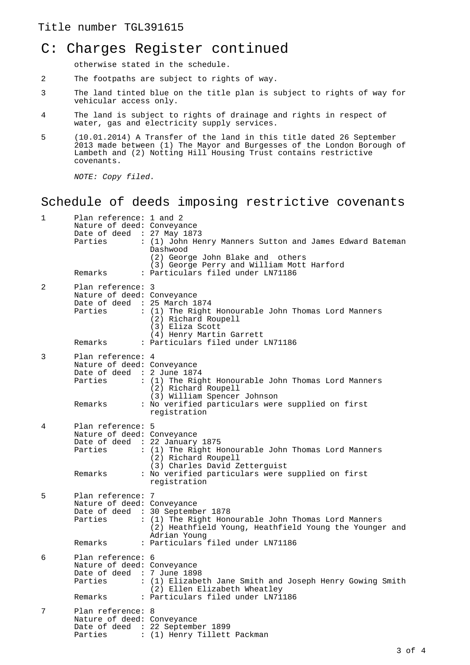#### Title number TGL391615

# C: Charges Register continued

otherwise stated in the schedule.

- 2 The footpaths are subject to rights of way.
- 3 The land tinted blue on the title plan is subject to rights of way for vehicular access only.
- 4 The land is subject to rights of drainage and rights in respect of water, gas and electricity supply services.
- 5 (10.01.2014) A Transfer of the land in this title dated 26 September 2013 made between (1) The Mayor and Burgesses of the London Borough of Lambeth and (2) Notting Hill Housing Trust contains restrictive covenants.

NOTE: Copy filed.

## Schedule of deeds imposing restrictive covenants

| 1            | Plan reference: 1 and 2<br>Nature of deed: Conveyance<br>Date of deed : 27 May 1873<br>Parties          | : (1) John Henry Manners Sutton and James Edward Bateman<br>Dashwood<br>(2) George John Blake and others<br>(3) George Perry and William Mott Harford             |
|--------------|---------------------------------------------------------------------------------------------------------|-------------------------------------------------------------------------------------------------------------------------------------------------------------------|
|              | Remarks                                                                                                 | : Particulars filed under LN71186                                                                                                                                 |
| 2            | Plan reference: 3<br>Nature of deed: Conveyance<br>Date of deed : 25 March 1874<br>Parties              | : (1) The Right Honourable John Thomas Lord Manners<br>(2) Richard Roupell<br>(3) Eliza Scott<br>(4) Henry Martin Garrett                                         |
|              | Remarks                                                                                                 | : Particulars filed under LN71186                                                                                                                                 |
| 3<br>Parties | Plan reference: 4<br>Nature of deed: Conveyance<br>Date of deed $: 2$ June 1874                         | : (1) The Right Honourable John Thomas Lord Manners<br>(2) Richard Roupell<br>(3) William Spencer Johnson                                                         |
|              | Remarks                                                                                                 | : No verified particulars were supplied on first<br>registration                                                                                                  |
| 4            | Plan reference: 5<br>Nature of deed: Conveyance<br>Date of deed : 22 January 1875<br>Parties<br>Remarks | : (1) The Right Honourable John Thomas Lord Manners<br>(2) Richard Roupell<br>(3) Charles David Zetterguist<br>: No verified particulars were supplied on first   |
|              |                                                                                                         | registration                                                                                                                                                      |
| 5            | Plan reference: 7<br>Nature of deed: Conveyance<br>Parties                                              | Date of deed : 30 September 1878<br>: (1) The Right Honourable John Thomas Lord Manners<br>(2) Heathfield Young, Heathfield Young the Younger and<br>Adrian Young |
|              | Remarks                                                                                                 | : Particulars filed under LN71186                                                                                                                                 |
| 6            | Plan reference: 6<br>Nature of deed: Conveyance<br>Date of deed : 7 June 1898<br>Parties                | : (1) Elizabeth Jane Smith and Joseph Henry Gowing Smith<br>(2) Ellen Elizabeth Wheatley                                                                          |
|              | Remarks                                                                                                 | : Particulars filed under LN71186                                                                                                                                 |
| 7            | Plan reference: 8<br>Nature of deed: Conveyance                                                         | Date of deed : 22 September 1899<br>Parties : (1) Henry Tillett Packman                                                                                           |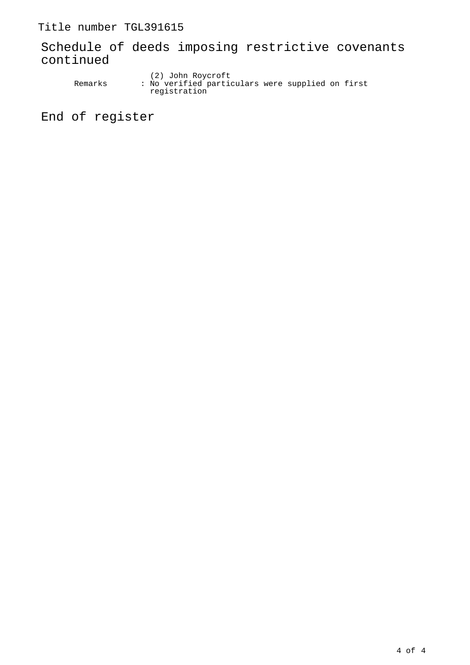Title number TGL391615

Schedule of deeds imposing restrictive covenants continued

 (2) John Roycroft Remarks : No verified particulars were supplied on first registration

End of register